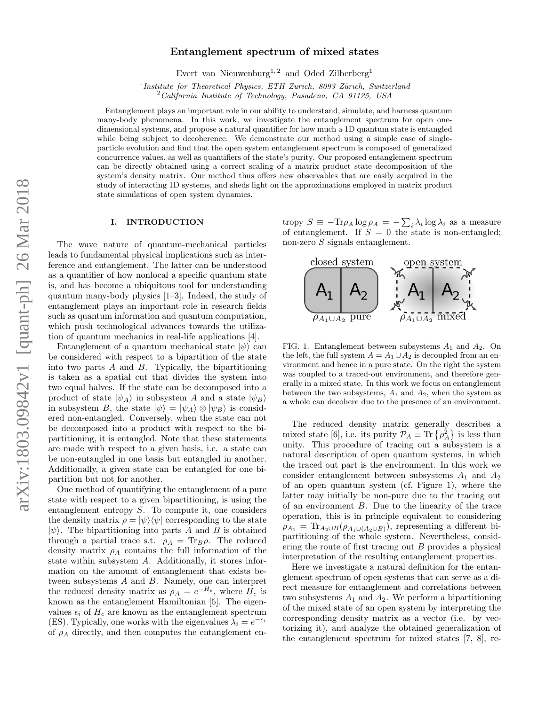# Entanglement spectrum of mixed states

Evert van Nieuwenburg<sup>1, 2</sup> and Oded Zilberberg<sup>1</sup>

<sup>1</sup> Institute for Theoretical Physics, ETH Zurich, 8093 Zürich, Switzerland  $2^\circ$ California Institute of Technology, Pasadena, CA 91125, USA

Entanglement plays an important role in our ability to understand, simulate, and harness quantum many-body phenomena. In this work, we investigate the entanglement spectrum for open onedimensional systems, and propose a natural quantifier for how much a 1D quantum state is entangled while being subject to decoherence. We demonstrate our method using a simple case of singleparticle evolution and find that the open system entanglement spectrum is composed of generalized concurrence values, as well as quantifiers of the state's purity. Our proposed entanglement spectrum can be directly obtained using a correct scaling of a matrix product state decomposition of the system's density matrix. Our method thus offers new observables that are easily acquired in the study of interacting 1D systems, and sheds light on the approximations employed in matrix product state simulations of open system dynamics.

### I. INTRODUCTION

The wave nature of quantum-mechanical particles leads to fundamental physical implications such as interference and entanglement. The latter can be understood as a quantifier of how nonlocal a specific quantum state is, and has become a ubiquitous tool for understanding quantum many-body physics [1–3]. Indeed, the study of entanglement plays an important role in research fields such as quantum information and quantum computation, which push technological advances towards the utilization of quantum mechanics in real-life applications [4].

Entanglement of a quantum mechanical state  $|\psi\rangle$  can be considered with respect to a bipartition of the state into two parts  $A$  and  $B$ . Typically, the bipartitioning is taken as a spatial cut that divides the system into two equal halves. If the state can be decomposed into a product of state  $|\psi_A\rangle$  in subsystem A and a state  $|\psi_B\rangle$ in subsystem B, the state  $|\psi\rangle = |\psi_A\rangle \otimes |\psi_B\rangle$  is considered non-entangled. Conversely, when the state can not be decomposed into a product with respect to the bipartitioning, it is entangled. Note that these statements are made with respect to a given basis, i.e. a state can be non-entangled in one basis but entangled in another. Additionally, a given state can be entangled for one bipartition but not for another.

One method of quantifying the entanglement of a pure state with respect to a given bipartitioning, is using the entanglement entropy S. To compute it, one considers the density matrix  $\rho = |\psi\rangle\langle\psi|$  corresponding to the state  $|\psi\rangle$ . The bipartitioning into parts A and B is obtained through a partial trace s.t.  $\rho_A = \text{Tr}_B \rho$ . The reduced density matrix  $\rho_A$  contains the full information of the state within subsystem A. Additionally, it stores information on the amount of entanglement that exists between subsystems A and B. Namely, one can interpret the reduced density matrix as  $\rho_A = e^{-H_e}$ , where  $H_e$  is known as the entanglement Hamiltonian [5]. The eigenvalues  $\epsilon_i$  of  $H_e$  are known as the entanglement spectrum (ES). Typically, one works with the eigenvalues  $\lambda_i = e^{-\epsilon_i}$ of  $\rho_A$  directly, and then computes the entanglement en-

tropy  $S \equiv -\text{Tr}\rho_A \log \rho_A = -\sum_i \lambda_i \log \lambda_i$  as a measure of entanglement. If  $S = 0$  the state is non-entangled; non-zero S signals entanglement.



FIG. 1. Entanglement between subsystems  $A_1$  and  $A_2$ . On the left, the full system  $A = A_1 \cup A_2$  is decoupled from an environment and hence in a pure state. On the right the system was coupled to a traced-out environment, and therefore generally in a mixed state. In this work we focus on entanglement between the two subsystems,  $A_1$  and  $A_2$ , when the system as a whole can decohere due to the presence of an environment.

The reduced density matrix generally describes a mixed state [6], i.e. its purity  $\mathcal{P}_A \equiv \text{Tr} \left\{ \rho_A^2 \right\}$  is less than unity. This procedure of tracing out a subsystem is a natural description of open quantum systems, in which the traced out part is the environment. In this work we consider entanglement between subsystems  $A_1$  and  $A_2$ of an open quantum system (cf. Figure 1), where the latter may initially be non-pure due to the tracing out of an environment B. Due to the linearity of the trace operation, this is in principle equivalent to considering  $\rho_{A_1} = \text{Tr}_{A_2 \cup B}(\rho_{A_1 \cup (A_2 \cup B)})$ , representing a different bipartitioning of the whole system. Nevertheless, considering the route of first tracing out  $B$  provides a physical interpretation of the resulting entanglement properties.

Here we investigate a natural definition for the entanglement spectrum of open systems that can serve as a direct measure for entanglement and correlations between two subsystems  $A_1$  and  $A_2$ . We perform a bipartitioning of the mixed state of an open system by interpreting the corresponding density matrix as a vector (i.e. by vectorizing it), and analyze the obtained generalization of the entanglement spectrum for mixed states [7, 8], re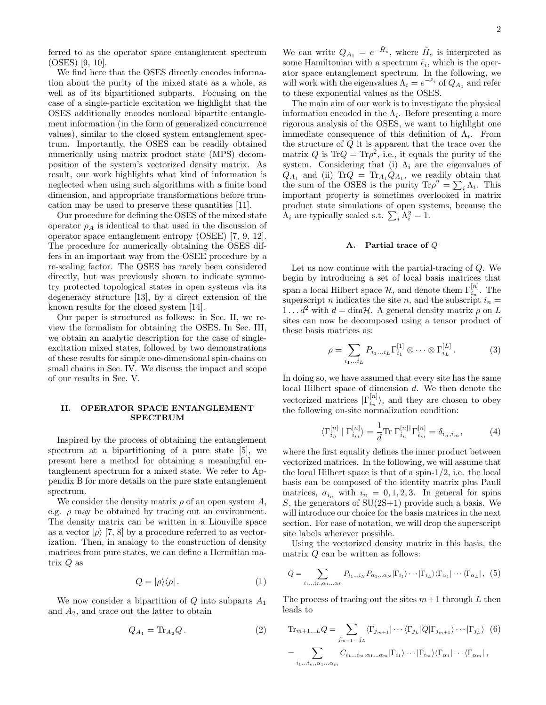ferred to as the operator space entanglement spectrum (OSES) [9, 10].

We find here that the OSES directly encodes information about the purity of the mixed state as a whole, as well as of its bipartitioned subparts. Focusing on the case of a single-particle excitation we highlight that the OSES additionally encodes nonlocal bipartite entanglement information (in the form of generalized concurrence values), similar to the closed system entanglement spectrum. Importantly, the OSES can be readily obtained numerically using matrix product state (MPS) decomposition of the system's vectorized density matrix. As result, our work highlights what kind of information is neglected when using such algorithms with a finite bond dimension, and appropriate transformations before truncation may be used to preserve these quantities [11].

Our procedure for defining the OSES of the mixed state operator  $\rho_A$  is identical to that used in the discussion of operator space entanglement entropy (OSEE) [7, 9, 12]. The procedure for numerically obtaining the OSES differs in an important way from the OSEE procedure by a re-scaling factor. The OSES has rarely been considered directly, but was previously shown to indicate symmetry protected topological states in open systems via its degeneracy structure [13], by a direct extension of the known results for the closed system [14].

Our paper is structured as follows: in Sec. II, we review the formalism for obtaining the OSES. In Sec. III, we obtain an analytic description for the case of singleexcitation mixed states, followed by two demonstrations of these results for simple one-dimensional spin-chains on small chains in Sec. IV. We discuss the impact and scope of our results in Sec. V.

# II. OPERATOR SPACE ENTANGLEMENT SPECTRUM

Inspired by the process of obtaining the entanglement spectrum at a bipartitioning of a pure state [5], we present here a method for obtaining a meaningful entanglement spectrum for a mixed state. We refer to Appendix B for more details on the pure state entanglement spectrum.

We consider the density matrix  $\rho$  of an open system A, e.g.  $\rho$  may be obtained by tracing out an environment. The density matrix can be written in a Liouville space as a vector  $|\rho\rangle$  [7, 8] by a procedure referred to as vectorization. Then, in analogy to the construction of density matrices from pure states, we can define a Hermitian matrix  $Q$  as

$$
Q = |\rho\rangle\langle\rho| \,. \tag{1}
$$

We now consider a bipartition of  $Q$  into subparts  $A_1$ and  $A_2$ , and trace out the latter to obtain

$$
Q_{A_1} = \text{Tr}_{A_2} Q. \tag{2}
$$

We can write  $Q_{A_1} = e^{-\tilde{H}_e}$ , where  $\tilde{H}_e$  is interpreted as some Hamiltonian with a spectrum  $\tilde{\epsilon}_i$ , which is the operator space entanglement spectrum. In the following, we will work with the eigenvalues  $\Lambda_i = e^{-\tilde{\epsilon}_i}$  of  $Q_{A_1}$  and refer to these exponential values as the OSES.

The main aim of our work is to investigate the physical information encoded in the  $\Lambda_i$ . Before presenting a more rigorous analysis of the OSES, we want to highlight one immediate consequence of this definition of  $\Lambda_i$ . From the structure of Q it is apparent that the trace over the matrix Q is  $\text{Tr}Q = \text{Tr}\rho^2$ , i.e., it equals the purity of the system. Considering that (i)  $\Lambda_i$  are the eigenvalues of  $Q_{A_1}$  and (ii) Tr $Q = Tr_{A_1} Q_{A_1}$ , we readily obtain that the sum of the OSES is the purity  $\text{Tr}\rho^2 = \sum_i \Lambda_i$ . This important property is sometimes overlooked in matrix product state simulations of open systems, because the  $\Lambda_i$  are typically scaled s.t.  $\sum_i \Lambda_i^2 = 1$ .

# A. Partial trace of Q

Let us now continue with the partial-tracing of Q. We begin by introducing a set of local basis matrices that span a local Hilbert space  $\mathcal{H}$ , and denote them  $\Gamma_{i_n}^{[n]}$ . The superscript n indicates the site n, and the subscript  $i_n =$  $1 \dots d^2$  with  $d = \dim \mathcal{H}$ . A general density matrix  $\rho$  on L sites can now be decomposed using a tensor product of these basis matrices as:

$$
\rho = \sum_{i_1...i_L} P_{i_1...i_L} \Gamma_{i_1}^{[1]} \otimes \cdots \otimes \Gamma_{i_L}^{[L]}.
$$
 (3)

In doing so, we have assumed that every site has the same local Hilbert space of dimension d. We then denote the vectorized matrices  $|\Gamma_{i_n}^{[n]} \rangle$ , and they are chosen to obey the following on-site normalization condition:

$$
\langle \Gamma_{i_n}^{[n]} \mid \Gamma_{i_m}^{[n]} \rangle = \frac{1}{d} \text{Tr} \Gamma_{i_n}^{[n] \dagger} \Gamma_{i_m}^{[n]} = \delta_{i_n, i_m}, \tag{4}
$$

where the first equality defines the inner product between vectorized matrices. In the following, we will assume that the local Hilbert space is that of a spin-1/2, i.e. the local basis can be composed of the identity matrix plus Pauli matrices,  $\sigma_{i_n}$  with  $i_n = 0, 1, 2, 3$ . In general for spins S, the generators of  $SU(2S+1)$  provide such a basis. We will introduce our choice for the basis matrices in the next section. For ease of notation, we will drop the superscript site labels wherever possible.

Using the vectorized density matrix in this basis, the matrix  $Q$  can be written as follows:

$$
Q = \sum_{i_1...i_L,\alpha_1...\alpha_L} P_{i_1...i_N} P_{\alpha_1...\alpha_N} |\Gamma_{i_1}\rangle \cdots |\Gamma_{i_L}\rangle \langle \Gamma_{\alpha_1}|\cdots \langle \Gamma_{\alpha_L}|\,, (5)
$$

The process of tracing out the sites  $m+1$  through L then leads to

$$
\mathrm{Tr}_{m+1...L}Q = \sum_{j_{m+1}...j_L} \langle \Gamma_{j_{m+1}} | \cdots \langle \Gamma_{j_L} | Q | \Gamma_{j_{m+1}} \rangle \cdots | \Gamma_{j_L} \rangle \tag{6}
$$

$$
= \sum_{i_1...i_m,\alpha_1...\alpha_m} C_{i_1...i_m;\alpha_1...\alpha_m} |\Gamma_{i_1} \rangle \cdots |\Gamma_{i_m} \rangle \langle \Gamma_{\alpha_1} | \cdots \langle \Gamma_{\alpha_m} |,
$$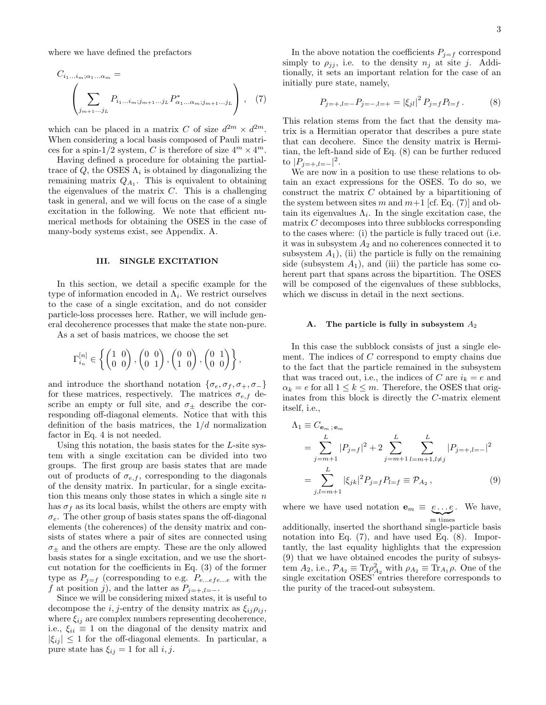where we have defined the prefactors

$$
C_{i_1...i_m;\alpha_1...\alpha_m} = \left( \sum_{j_{m+1}...j_L} P_{i_1...i_m;j_{m+1}...j_L} P_{\alpha_1...\alpha_m;j_{m+1}...j_L}^* \right), (7)
$$

which can be placed in a matrix C of size  $d^{2m} \times d^{2m}$ . When considering a local basis composed of Pauli matrices for a spin-1/2 system, C is therefore of size  $4^m \times 4^m$ .

Having defined a procedure for obtaining the partialtrace of  $Q$ , the OSES  $\Lambda_i$  is obtained by diagonalizing the remaining matrix  $Q_{A_1}$ . This is equivalent to obtaining the eigenvalues of the matrix  $C$ . This is a challenging task in general, and we will focus on the case of a single excitation in the following. We note that efficient numerical methods for obtaining the OSES in the case of many-body systems exist, see Appendix. A.

### III. SINGLE EXCITATION

In this section, we detail a specific example for the type of information encoded in  $\Lambda_i$ . We restrict ourselves to the case of a single excitation, and do not consider particle-loss processes here. Rather, we will include general decoherence processes that make the state non-pure.

As a set of basis matrices, we choose the set

$$
\Gamma_{i_n}^{[n]} \in \left\{ \begin{pmatrix} 1 & 0 \\ 0 & 0 \end{pmatrix}, \begin{pmatrix} 0 & 0 \\ 0 & 1 \end{pmatrix}, \begin{pmatrix} 0 & 0 \\ 1 & 0 \end{pmatrix}, \begin{pmatrix} 0 & 1 \\ 0 & 0 \end{pmatrix} \right\},\
$$

and introduce the shorthand notation  $\{\sigma_e, \sigma_f, \sigma_+, \sigma_-\}$ for these matrices, respectively. The matrices  $\sigma_{e,f}$  describe an empty or full site, and  $\sigma_{\pm}$  describe the corresponding off-diagonal elements. Notice that with this definition of the basis matrices, the  $1/d$  normalization factor in Eq. 4 is not needed.

Using this notation, the basis states for the L-site system with a single excitation can be divided into two groups. The first group are basis states that are made out of products of  $\sigma_{e,f}$ , corresponding to the diagonals of the density matrix. In particular, for a single excitation this means only those states in which a single site  $n$ has  $\sigma_f$  as its local basis, whilst the others are empty with  $\sigma_e$ . The other group of basis states spans the off-diagonal elements (the coherences) of the density matrix and consists of states where a pair of sites are connected using  $\sigma_{\pm}$  and the others are empty. These are the only allowed basis states for a single excitation, and we use the shortcut notation for the coefficients in Eq. (3) of the former type as  $P_{j=f}$  (corresponding to e.g.  $P_{e...efe...e}$  with the f at position j), and the latter as  $P_{j=+,l=-}$ .

Since we will be considering mixed states, it is useful to decompose the *i*, *j*-entry of the density matrix as  $\xi_{ij}\rho_{ij}$ , where  $\xi_{ij}$  are complex numbers representing decoherence, i.e.,  $\xi_{ii} \equiv 1$  on the diagonal of the density matrix and  $|\xi_{ij}| \leq 1$  for the off-diagonal elements. In particular, a pure state has  $\xi_{ij} = 1$  for all  $i, j$ .

In the above notation the coefficients  $P_{j=f}$  correspond simply to  $\rho_{jj}$ , i.e. to the density  $n_j$  at site j. Additionally, it sets an important relation for the case of an initially pure state, namely,

$$
P_{j=+,l=-}P_{j=-,l=+} = |\xi_{jl}|^2 P_{j=f} P_{l=f} . \tag{8}
$$

This relation stems from the fact that the density matrix is a Hermitian operator that describes a pure state that can decohere. Since the density matrix is Hermitian, the left-hand side of Eq. (8) can be further reduced to  $|P_{j=+,l=-}|^2$ .

We are now in a position to use these relations to obtain an exact expressions for the OSES. To do so, we construct the matrix C obtained by a bipartitioning of the system between sites m and  $m+1$  [cf. Eq. (7)] and obtain its eigenvalues  $\Lambda_i$ . In the single excitation case, the matrix C decomposes into three subblocks corresponding to the cases where: (i) the particle is fully traced out (i.e. it was in subsystem  $A_2$  and no coherences connected it to subsystem  $A_1$ ), (ii) the particle is fully on the remaining side (subsystem  $A_1$ ), and (iii) the particle has some coherent part that spans across the bipartition. The OSES will be composed of the eigenvalues of these subblocks, which we discuss in detail in the next sections.

#### A. The particle is fully in subsystem  $A_2$

In this case the subblock consists of just a single element. The indices of C correspond to empty chains due to the fact that the particle remained in the subsystem that was traced out, i.e., the indices of C are  $i_k = e$  and  $\alpha_k = e$  for all  $1 \leq k \leq m$ . Therefore, the OSES that originates from this block is directly the C-matrix element itself, i.e.,

$$
\Lambda_1 \equiv C_{\mathbf{e}_m, \mathbf{e}_m}
$$
\n
$$
= \sum_{j=m+1}^{L} |P_{j=f}|^2 + 2 \sum_{j=m+1}^{L} \sum_{l=m+1, l \neq j}^{L} |P_{j=+,l=-}|^2
$$
\n
$$
= \sum_{j,l=m+1}^{L} |\xi_{jk}|^2 P_{j=f} P_{l=f} \equiv P_{A_2}, \tag{9}
$$

where we have used notation  $\mathbf{e}_m \equiv e \dots e$ . We have, m times

additionally, inserted the shorthand single-particle basis notation into Eq. (7), and have used Eq. (8). Importantly, the last equality highlights that the expression (9) that we have obtained encodes the purity of subsystem  $A_2$ , i.e.,  $\mathcal{P}_{A_2} \equiv \text{Tr} \rho_{A_2}^2$  with  $\rho_{A_2} \equiv \text{Tr}_{A_1} \rho$ . One of the single excitation OSES' entries therefore corresponds to the purity of the traced-out subsystem.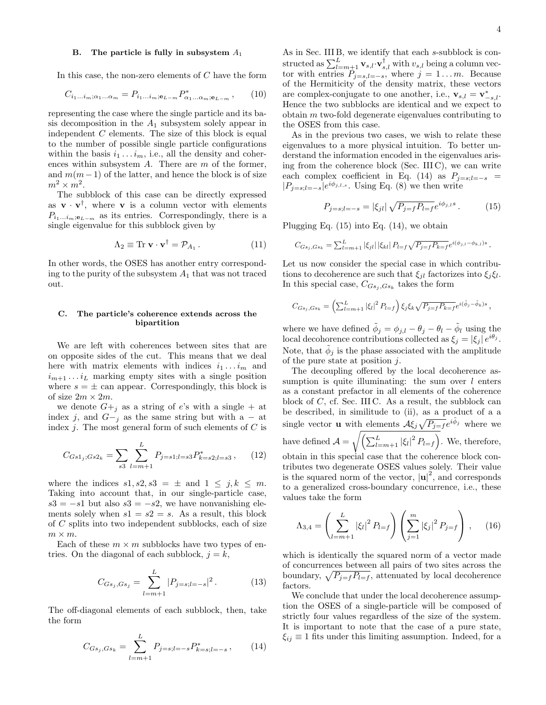In this case, the non-zero elements of  $C$  have the form

$$
C_{i_1\ldots i_m;\alpha_1\ldots\alpha_m} = P_{i_1\ldots i_m;\mathbf{e}_{L-m}} P_{\alpha_1\ldots\alpha_m;\mathbf{e}_{L-m}}^* ,\qquad(10)
$$

representing the case where the single particle and its basis decomposition in the  $A_1$  subsystem solely appear in independent C elements. The size of this block is equal to the number of possible single particle configurations within the basis  $i_1 \ldots i_m$ , i.e., all the density and coherences within subsystem  $A$ . There are  $m$  of the former, and  $m(m-1)$  of the latter, and hence the block is of size  $m^2 \times m^2$ .

The subblock of this case can be directly expressed as  $\mathbf{v} \cdot \mathbf{v}^{\dagger}$ , where **v** is a column vector with elements  $P_{i_1...i_m;e_{L-m}}$  as its entries. Correspondingly, there is a single eigenvalue for this subblock given by

$$
\Lambda_2 \equiv \text{Tr } \mathbf{v} \cdot \mathbf{v}^\dagger = \mathcal{P}_{A_1} \,. \tag{11}
$$

In other words, the OSES has another entry corresponding to the purity of the subsystem  $A_1$  that was not traced out.

# C. The particle's coherence extends across the bipartition

We are left with coherences between sites that are on opposite sides of the cut. This means that we deal here with matrix elements with indices  $i_1 \ldots i_m$  and  $i_{m+1} \dots i_L$  marking empty sites with a single position where  $s = \pm$  can appear. Correspondingly, this block is of size  $2m \times 2m$ .

we denote  $G+_{i}$  as a string of e's with a single + at index j, and  $G-<sub>j</sub>$  as the same string but with a – at index *j*. The most general form of such elements of  $C$  is

$$
C_{Gs1_j;Gs2_k} = \sum_{s3} \sum_{l=m+1}^{L} P_{j=s1;l=s3} P_{k=s2;l=s3}^*,\qquad(12)
$$

where the indices  $s1, s2, s3 = \pm$  and  $1 \leq j, k \leq m$ . Taking into account that, in our single-particle case,  $s3 = -s1$  but also  $s3 = -s2$ , we have nonvanishing elements solely when  $s1 = s2 = s$ . As a result, this block of C splits into two independent subblocks, each of size  $m \times m$ .

Each of these  $m \times m$  subblocks have two types of entries. On the diagonal of each subblock,  $j = k$ ,

$$
C_{Gs_j, Gs_j} = \sum_{l=m+1}^{L} |P_{j=s;l=-s}|^2.
$$
 (13)

The off-diagonal elements of each subblock, then, take the form

$$
C_{Gs_j, Gs_k} = \sum_{l=m+1}^{L} P_{j=s;l=-s} P_{k=s;l=-s}^*, \qquad (14)
$$

As in Sec. III B, we identify that each s-subblock is constructed as  $\sum_{l=m+1}^{L} \mathbf{v}_{s,l} \cdot \mathbf{v}_{s,l}^{\dagger}$  with  $v_{s,l}$  being a column vector with entries  $P_{j=s,l=-s}$ , where  $j=1...m$ . Because of the Hermiticity of the density matrix, these vectors are complex-conjugate to one another, i.e.,  $\mathbf{v}_{s,l} = \mathbf{v}_{-s,l}^*$ . Hence the two subblocks are identical and we expect to obtain m two-fold degenerate eigenvalues contributing to the OSES from this case.

As in the previous two cases, we wish to relate these eigenvalues to a more physical intuition. To better understand the information encoded in the eigenvalues arising from the coherence block (Sec. III C), we can write each complex coefficient in Eq. (14) as  $P_{j=s;l=-s}$  =  $|P_{j=s;l=-s}|e^{i\phi_{j,l,s}}$ . Using Eq. (8) we then write

$$
P_{j=s;l=-s} = |\xi_{jl}| \sqrt{P_{j=f} P_{l=f}} e^{i\phi_{j,l}s}.
$$
 (15)

Plugging Eq. (15) into Eq. (14), we obtain

$$
C_{Gs_j,Gs_k} = \sum_{l=m+1}^{L} |\xi_{jl}| |\xi_{kl}| P_{l=f} \sqrt{P_{j=f} P_{k=f}} e^{i(\phi_{j,l} - \phi_{k,l})s}.
$$

Let us now consider the special case in which contributions to decoherence are such that  $\xi_{jl}$  factorizes into  $\xi_j \xi_l$ . In this special case,  $C_{Gs_j, G_{s_k}}$  takes the form

$$
C_{Gs_j, Gs_k} = \left(\sum_{l=m+1}^{L} |\xi_l|^2 P_{l=f}\right) \xi_j \xi_k \sqrt{P_{j=f} P_{k=f}} e^{i(\tilde{\phi}_j - \tilde{\phi}_k)s},
$$

where we have defined  $\tilde{\phi}_j = \phi_{j,l} - \theta_j - \tilde{\phi}_l$  using the local decohorence contributions collected as  $\xi_j = |\xi_j| e^{i\theta_j}$ . Note, that  $\tilde{\phi}_j$  is the phase associated with the amplitude of the pure state at position  $j$ .

The decoupling offered by the local decoherence assumption is quite illuminating: the sum over  $l$  enters as a constant prefactor in all elements of the coherence block of  $C$ , cf. Sec. III C. As a result, the subblock can be described, in similitude to (ii), as a product of a a single vector **u** with elements  $\mathcal{A}\xi_j\sqrt{P_{j=f}}e^{i\tilde{\phi}_j}$  where we have defined  $\mathcal{A} = \sqrt{\left(\sum_{l=m+1}^{L} |\xi_l|^2 P_{l=f}\right)}$ . We, therefore, obtain in this special case that the coherence block contributes two degenerate OSES values solely. Their value is the squared norm of the vector,  $|\mathbf{u}|^2$ , and corresponds to a generalized cross-boundary concurrence, i.e., these values take the form

$$
\Lambda_{3,4} = \left(\sum_{l=m+1}^{L} |\xi_l|^2 P_{l=f}\right) \left(\sum_{j=1}^{m} |\xi_j|^2 P_{j=f}\right), \quad (16)
$$

which is identically the squared norm of a vector made of concurrences between all pairs of two sites across the boundary,  $\sqrt{P_{j=f}P_{l=f}}$ , attenuated by local decoherence factors.

We conclude that under the local decoherence assumption the OSES of a single-particle will be composed of strictly four values regardless of the size of the system. It is important to note that the case of a pure state,  $\xi_{ij} \equiv 1$  fits under this limiting assumption. Indeed, for a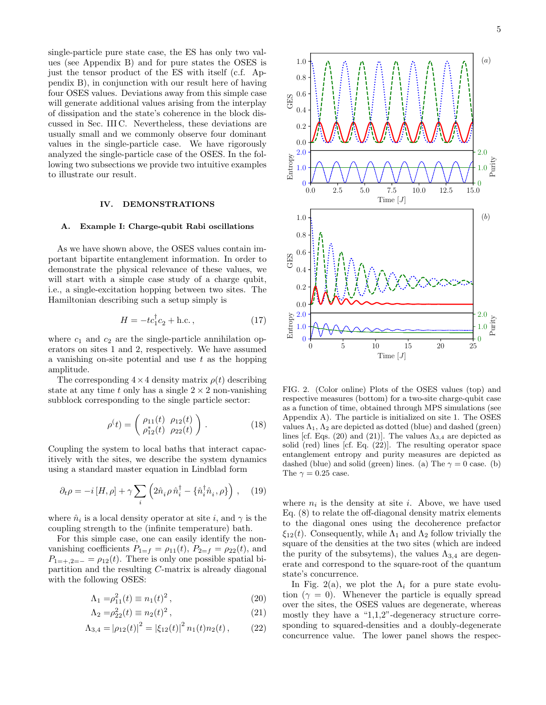single-particle pure state case, the ES has only two values (see Appendix B) and for pure states the OSES is just the tensor product of the ES with itself (c.f. Appendix B), in conjunction with our result here of having four OSES values. Deviations away from this simple case will generate additional values arising from the interplay of dissipation and the state's coherence in the block discussed in Sec. III C. Nevertheless, these deviations are usually small and we commonly observe four dominant values in the single-particle case. We have rigorously analyzed the single-particle case of the OSES. In the following two subsections we provide two intuitive examples to illustrate our result.

# IV. DEMONSTRATIONS

#### A. Example I: Charge-qubit Rabi oscillations

As we have shown above, the OSES values contain important bipartite entanglement information. In order to demonstrate the physical relevance of these values, we will start with a simple case study of a charge qubit, i.e., a single-excitation hopping between two sites. The Hamiltonian describing such a setup simply is

$$
H = -tc_1^{\dagger}c_2 + \text{h.c.},\tag{17}
$$

where  $c_1$  and  $c_2$  are the single-particle annihilation operators on sites 1 and 2, respectively. We have assumed a vanishing on-site potential and use  $t$  as the hopping amplitude.

The corresponding  $4 \times 4$  density matrix  $\rho(t)$  describing state at any time t only has a single  $2 \times 2$  non-vanishing subblock corresponding to the single particle sector:

$$
\rho^{(t)} = \begin{pmatrix} \rho_{11}(t) & \rho_{12}(t) \\ \rho_{12}^{*}(t) & \rho_{22}(t) \end{pmatrix} . \tag{18}
$$

Coupling the system to local baths that interact capacitively with the sites, we describe the system dynamics using a standard master equation in Lindblad form

$$
\partial_t \rho = -i[H, \rho] + \gamma \sum_i \left( 2\hat{n}_i \rho \,\hat{n}_i^\dagger - \{\hat{n}_i^\dagger \hat{n}_i, \rho\} \right) \,, \quad (19)
$$

where  $\hat{n}_i$  is a local density operator at site i, and  $\gamma$  is the coupling strength to the (infinite temperature) bath.

For this simple case, one can easily identify the nonvanishing coefficients  $P_{1=f} = \rho_{11}(t)$ ,  $P_{2=f} = \rho_{22}(t)$ , and  $P_{1=+,2=-} = \rho_{12}(t)$ . There is only one possible spatial bipartition and the resulting C-matrix is already diagonal with the following OSES:

$$
\Lambda_1 = \rho_{11}^2(t) \equiv n_1(t)^2, \tag{20}
$$

$$
\Lambda_2 = \rho_{22}^2(t) \equiv n_2(t)^2, \tag{21}
$$

$$
\Lambda_{3,4} = |\rho_{12}(t)|^2 = |\xi_{12}(t)|^2 n_1(t) n_2(t), \qquad (22)
$$



FIG. 2. (Color online) Plots of the OSES values (top) and respective measures (bottom) for a two-site charge-qubit case as a function of time, obtained through MPS simulations (see Appendix A). The particle is initialized on site 1. The OSES values  $\Lambda_1$ ,  $\Lambda_2$  are depicted as dotted (blue) and dashed (green) lines [cf. Eqs. (20) and (21)]. The values  $\Lambda_{3,4}$  are depicted as solid (red) lines [cf. Eq. (22)]. The resulting operator space entanglement entropy and purity measures are depicted as dashed (blue) and solid (green) lines. (a) The  $\gamma = 0$  case. (b) The  $\gamma = 0.25$  case.

where  $n_i$  is the density at site *i*. Above, we have used Eq. (8) to relate the off-diagonal density matrix elements to the diagonal ones using the decoherence prefactor  $\xi_{12}(t)$ . Consequently, while  $\Lambda_1$  and  $\Lambda_2$  follow trivially the square of the densities at the two sites (which are indeed the purity of the subsytems), the values  $\Lambda_{3,4}$  are degenerate and correspond to the square-root of the quantum state's concurrence.

In Fig. 2(a), we plot the  $\Lambda_i$  for a pure state evolution  $(\gamma = 0)$ . Whenever the particle is equally spread over the sites, the OSES values are degenerate, whereas mostly they have a "1,1,2"-degeneracy structure corresponding to squared-densities and a doubly-degenerate concurrence value. The lower panel shows the respec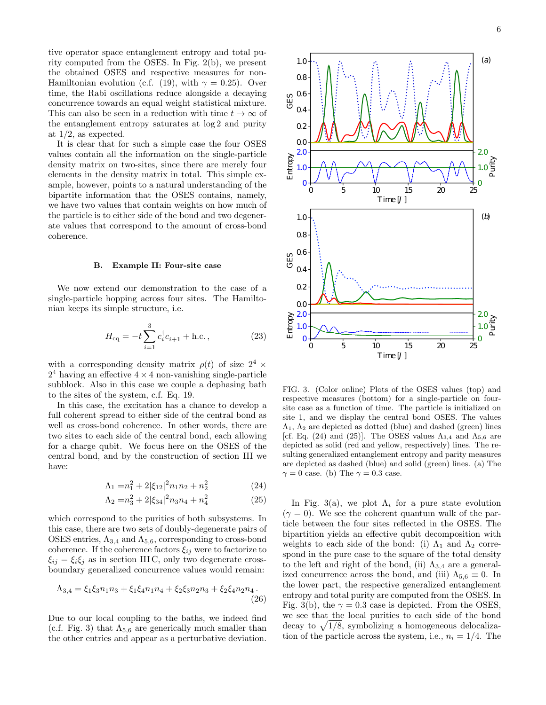tive operator space entanglement entropy and total purity computed from the OSES. In Fig. 2(b), we present the obtained OSES and respective measures for non-Hamiltonian evolution (c.f. (19), with  $\gamma = 0.25$ ). Over time, the Rabi oscillations reduce alongside a decaying concurrence towards an equal weight statistical mixture. This can also be seen in a reduction with time  $t \to \infty$  of the entanglement entropy saturates at log 2 and purity at 1/2, as expected.

It is clear that for such a simple case the four OSES values contain all the information on the single-particle density matrix on two-sites, since there are merely four elements in the density matrix in total. This simple example, however, points to a natural understanding of the bipartite information that the OSES contains, namely, we have two values that contain weights on how much of the particle is to either side of the bond and two degenerate values that correspond to the amount of cross-bond coherence.

### B. Example II: Four-site case

We now extend our demonstration to the case of a single-particle hopping across four sites. The Hamiltonian keeps its simple structure, i.e.

$$
H_{\rm eq} = -t \sum_{i=1}^{3} c_i^{\dagger} c_{i+1} + \text{h.c.}, \qquad (23)
$$

with a corresponding density matrix  $\rho(t)$  of size  $2^4$  ×  $2<sup>4</sup>$  having an effective  $4 \times 4$  non-vanishing single-particle subblock. Also in this case we couple a dephasing bath to the sites of the system, c.f. Eq. 19.

In this case, the excitation has a chance to develop a full coherent spread to either side of the central bond as well as cross-bond coherence. In other words, there are two sites to each side of the central bond, each allowing for a charge qubit. We focus here on the OSES of the central bond, and by the construction of section III we have:

$$
\Lambda_1 = n_1^2 + 2|\xi_{12}|^2 n_1 n_2 + n_2^2 \tag{24}
$$

$$
\Lambda_2 = n_3^2 + 2|\xi_{34}|^2 n_3 n_4 + n_4^2 \tag{25}
$$

which correspond to the purities of both subsystems. In this case, there are two sets of doubly-degenerate pairs of OSES entries,  $\Lambda_{3,4}$  and  $\Lambda_{5,6}$ , corresponding to cross-bond coherence. If the coherence factors  $\xi_{ij}$  were to factorize to  $\xi_{ij} = \xi_i \xi_j$  as in section III C, only two degenerate crossboundary generalized concurrence values would remain:

$$
\Lambda_{3,4} = \xi_1 \xi_3 n_1 n_3 + \xi_1 \xi_4 n_1 n_4 + \xi_2 \xi_3 n_2 n_3 + \xi_2 \xi_4 n_2 n_4.
$$
\n(26)

Due to our local coupling to the baths, we indeed find (c.f. Fig. 3) that  $\Lambda_{5,6}$  are generically much smaller than the other entries and appear as a perturbative deviation.





0.0 0.2 0.4 0.6 0.8 1.0

GES

FIG. 3. (Color online) Plots of the OSES values (top) and respective measures (bottom) for a single-particle on foursite case as a function of time. The particle is initialized on site 1, and we display the central bond OSES. The values  $\Lambda_1$ ,  $\Lambda_2$  are depicted as dotted (blue) and dashed (green) lines [cf. Eq. (24) and (25)]. The OSES values  $\Lambda_{3,4}$  and  $\Lambda_{5,6}$  are depicted as solid (red and yellow, respectively) lines. The resulting generalized entanglement entropy and parity measures are depicted as dashed (blue) and solid (green) lines. (a) The  $\gamma = 0$  case. (b) The  $\gamma = 0.3$  case.

In Fig. 3(a), we plot  $\Lambda_i$  for a pure state evolution  $(\gamma = 0)$ . We see the coherent quantum walk of the particle between the four sites reflected in the OSES. The bipartition yields an effective qubit decomposition with weights to each side of the bond: (i)  $\Lambda_1$  and  $\Lambda_2$  correspond in the pure case to the square of the total density to the left and right of the bond, (ii)  $\Lambda_{3,4}$  are a generalized concurrence across the bond, and (iii)  $\Lambda_{5,6} \equiv 0$ . In the lower part, the respective generalized entanglement entropy and total purity are computed from the OSES. In Fig. 3(b), the  $\gamma = 0.3$  case is depicted. From the OSES, we see that the local purities to each side of the bond decay to  $\sqrt{1/8}$ , symbolizing a homogeneous delocalization of the particle across the system, i.e.,  $n_i = 1/4$ . The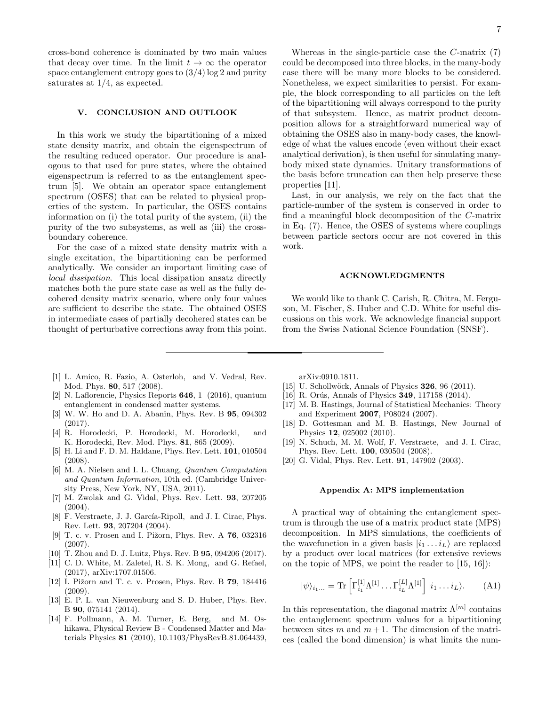cross-bond coherence is dominated by two main values that decay over time. In the limit  $t \to \infty$  the operator space entanglement entropy goes to  $(3/4)$  log 2 and purity saturates at 1/4, as expected.

# V. CONCLUSION AND OUTLOOK

In this work we study the bipartitioning of a mixed state density matrix, and obtain the eigenspectrum of the resulting reduced operator. Our procedure is analogous to that used for pure states, where the obtained eigenspectrum is referred to as the entanglement spectrum [5]. We obtain an operator space entanglement spectrum (OSES) that can be related to physical properties of the system. In particular, the OSES contains information on (i) the total purity of the system, (ii) the purity of the two subsystems, as well as (iii) the crossboundary coherence.

For the case of a mixed state density matrix with a single excitation, the bipartitioning can be performed analytically. We consider an important limiting case of local dissipation. This local dissipation ansatz directly matches both the pure state case as well as the fully decohered density matrix scenario, where only four values are sufficient to describe the state. The obtained OSES in intermediate cases of partially decohered states can be thought of perturbative corrections away from this point.

Whereas in the single-particle case the C-matrix (7) could be decomposed into three blocks, in the many-body case there will be many more blocks to be considered. Nonetheless, we expect similarities to persist. For example, the block corresponding to all particles on the left of the bipartitioning will always correspond to the purity of that subsystem. Hence, as matrix product decomposition allows for a straightforward numerical way of obtaining the OSES also in many-body cases, the knowledge of what the values encode (even without their exact analytical derivation), is then useful for simulating manybody mixed state dynamics. Unitary transformations of the basis before truncation can then help preserve these properties [11].

Last, in our analysis, we rely on the fact that the particle-number of the system is conserved in order to find a meaningful block decomposition of the C-matrix in Eq. (7). Hence, the OSES of systems where couplings between particle sectors occur are not covered in this work.

# ACKNOWLEDGMENTS

We would like to thank C. Carish, R. Chitra, M. Ferguson, M. Fischer, S. Huber and C.D. White for useful discussions on this work. We acknowledge financial support from the Swiss National Science Foundation (SNSF).

- [1] L. Amico, R. Fazio, A. Osterloh, and V. Vedral, Rev. Mod. Phys. 80, 517 (2008).
- [2] N. Laflorencie, Physics Reports 646, 1 (2016), quantum entanglement in condensed matter systems.
- [3] W. W. Ho and D. A. Abanin, Phys. Rev. B 95, 094302 (2017).
- [4] R. Horodecki, P. Horodecki, M. Horodecki, and K. Horodecki, Rev. Mod. Phys. 81, 865 (2009).
- [5] H. Li and F. D. M. Haldane, Phys. Rev. Lett. 101, 010504 (2008).
- [6] M. A. Nielsen and I. L. Chuang, Quantum Computation and Quantum Information, 10th ed. (Cambridge University Press, New York, NY, USA, 2011).
- [7] M. Zwolak and G. Vidal, Phys. Rev. Lett. 93, 207205 (2004).
- [8] F. Verstraete, J. J. García-Ripoll, and J. I. Cirac, Phys. Rev. Lett. 93, 207204 (2004).
- [9] T. c. v. Prosen and I. Pižorn, Phys. Rev. A 76, 032316 (2007).
- [10] T. Zhou and D. J. Luitz, Phys. Rev. B **95**, 094206 (2017).
- [11] C. D. White, M. Zaletel, R. S. K. Mong, and G. Refael, (2017), arXiv:1707.01506.
- [12] I. Pižorn and T. c. v. Prosen, Phys. Rev. B 79, 184416 (2009).
- [13] E. P. L. van Nieuwenburg and S. D. Huber, Phys. Rev. B 90, 075141 (2014).
- [14] F. Pollmann, A. M. Turner, E. Berg, and M. Oshikawa, Physical Review B - Condensed Matter and Materials Physics 81 (2010), 10.1103/PhysRevB.81.064439,

arXiv:0910.1811.

- [15] U. Schollwöck, Annals of Physics **326**, 96 (2011).
- [16] R. Orús, Annals of Physics  $349$ , 117158 (2014).
- [17] M. B. Hastings, Journal of Statistical Mechanics: Theory and Experiment 2007, P08024 (2007).
- [18] D. Gottesman and M. B. Hastings, New Journal of Physics 12, 025002 (2010).
- [19] N. Schuch, M. M. Wolf, F. Verstraete, and J. I. Cirac, Phys. Rev. Lett. 100, 030504 (2008).
- [20] G. Vidal, Phys. Rev. Lett. **91**, 147902 (2003).

### Appendix A: MPS implementation

A practical way of obtaining the entanglement spectrum is through the use of a matrix product state (MPS) decomposition. In MPS simulations, the coefficients of the wavefunction in a given basis  $|i_1 \dots i_L\rangle$  are replaced by a product over local matrices (for extensive reviews on the topic of MPS, we point the reader to [15, 16]):

$$
|\psi\rangle_{i_1...} = \text{Tr}\left[\Gamma_{i_1}^{[1]}\Lambda^{[1]} \dots \Gamma_{i_L}^{[L]}\Lambda^{[1]}\right]|i_1 \dots i_L\rangle. \tag{A1}
$$

In this representation, the diagonal matrix  $\Lambda^{[m]}$  contains the entanglement spectrum values for a bipartitioning between sites m and  $m + 1$ . The dimension of the matrices (called the bond dimension) is what limits the num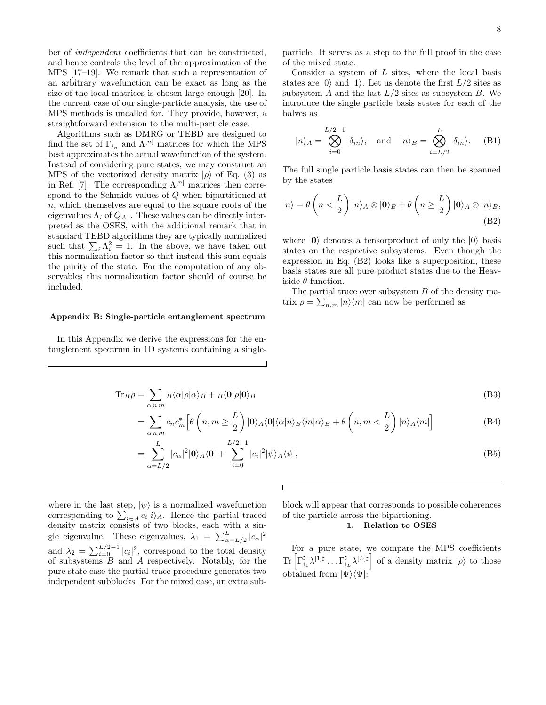ber of independent coefficients that can be constructed, and hence controls the level of the approximation of the MPS [17–19]. We remark that such a representation of an arbitrary wavefunction can be exact as long as the size of the local matrices is chosen large enough [20]. In the current case of our single-particle analysis, the use of MPS methods is uncalled for. They provide, however, a straightforward extension to the multi-particle case.

Algorithms such as DMRG or TEBD are designed to find the set of  $\Gamma_{i_n}$  and  $\Lambda^{[n]}$  matrices for which the MPS best approximates the actual wavefunction of the system. Instead of considering pure states, we may construct an MPS of the vectorized density matrix  $|\rho\rangle$  of Eq. (3) as in Ref. [7]. The corresponding  $\Lambda^{[n]}$  matrices then correspond to the Schmidt values of Q when bipartitioned at n, which themselves are equal to the square roots of the eigenvalues  $\Lambda_i$  of  $Q_{A_1}$ . These values can be directly interpreted as the OSES, with the additional remark that in standard TEBD algorithms they are typically normalized such that  $\sum_i \Lambda_i^2 = 1$ . In the above, we have taken out this normalization factor so that instead this sum equals the purity of the state. For the computation of any observables this normalization factor should of course be included.

#### Appendix B: Single-particle entanglement spectrum

In this Appendix we derive the expressions for the entanglement spectrum in 1D systems containing a singleparticle. It serves as a step to the full proof in the case of the mixed state.

Consider a system of  $L$  sites, where the local basis states are  $|0\rangle$  and  $|1\rangle$ . Let us denote the first  $L/2$  sites as subsystem  $A$  and the last  $L/2$  sites as subsystem  $B$ . We introduce the single particle basis states for each of the halves as

$$
|n\rangle_A = \bigotimes_{i=0}^{L/2-1} |\delta_{in}\rangle
$$
, and  $|n\rangle_B = \bigotimes_{i=L/2}^{L} |\delta_{in}\rangle$ . (B1)

The full single particle basis states can then be spanned by the states

$$
|n\rangle = \theta\left(n < \frac{L}{2}\right)|n\rangle_A \otimes |0\rangle_B + \theta\left(n \ge \frac{L}{2}\right)|0\rangle_A \otimes |n\rangle_B,
$$
\n(B2)

where  $|0\rangle$  denotes a tensorproduct of only the  $|0\rangle$  basis states on the respective subsystems. Even though the expression in Eq. (B2) looks like a superposition, these basis states are all pure product states due to the Heaviside  $\theta$ -function.

The partial trace over subsystem  $B$  of the density matrix  $\rho = \sum_{n,m} |n\rangle\langle m|$  can now be performed as

#### $\text{Tr}_{B}\rho = \sum$ α n m  $B\langle\alpha|\rho|\alpha\rangle_B + B\langle\mathbf{0}|\rho|\mathbf{0}\rangle_B$  (B3)

$$
= \sum_{\alpha \, n \, m} c_n c_m^* \left[ \theta \left( n, m \ge \frac{L}{2} \right) |0\rangle_A \langle 0| \langle \alpha | n \rangle_B \langle m | \alpha \rangle_B + \theta \left( n, m < \frac{L}{2} \right) |n\rangle_A \langle m| \right] \tag{B4}
$$

$$
=\sum_{\alpha=L/2}^{L} |c_{\alpha}|^2 |\mathbf{0}\rangle_A \langle \mathbf{0}| + \sum_{i=0}^{L/2-1} |c_i|^2 |\psi\rangle_A \langle \psi|,
$$
\n(B5)

where in the last step,  $|\psi\rangle$  is a normalized wavefunction corresponding to  $\sum_{i\in A} c_i |i\rangle_A$ . Hence the partial traced density matrix consists of two blocks, each with a single eigenvalue. These eigenvalues,  $\lambda_1 = \sum_{\alpha=L/2}^{L} |c_{\alpha}|^2$ and  $\lambda_2 = \sum_{i=0}^{L/2-1} |c_i|^2$ , correspond to the total density of subsystems B and A respectively. Notably, for the pure state case the partial-trace procedure generates two independent subblocks. For the mixed case, an extra sub-

block will appear that corresponds to possible coherences of the particle across the bipartioning.

# 1. Relation to OSES

For a pure state, we compare the MPS coefficients  $\text{Tr}\left[\Gamma_{i_1}^\sharp \lambda^{[1]\sharp}\dots\Gamma_{i_L}^\sharp \lambda^{[L]\sharp}\right]$  of a density matrix  $|\rho\rangle$  to those obtained from  $|\Psi\rangle\langle\Psi|$ :